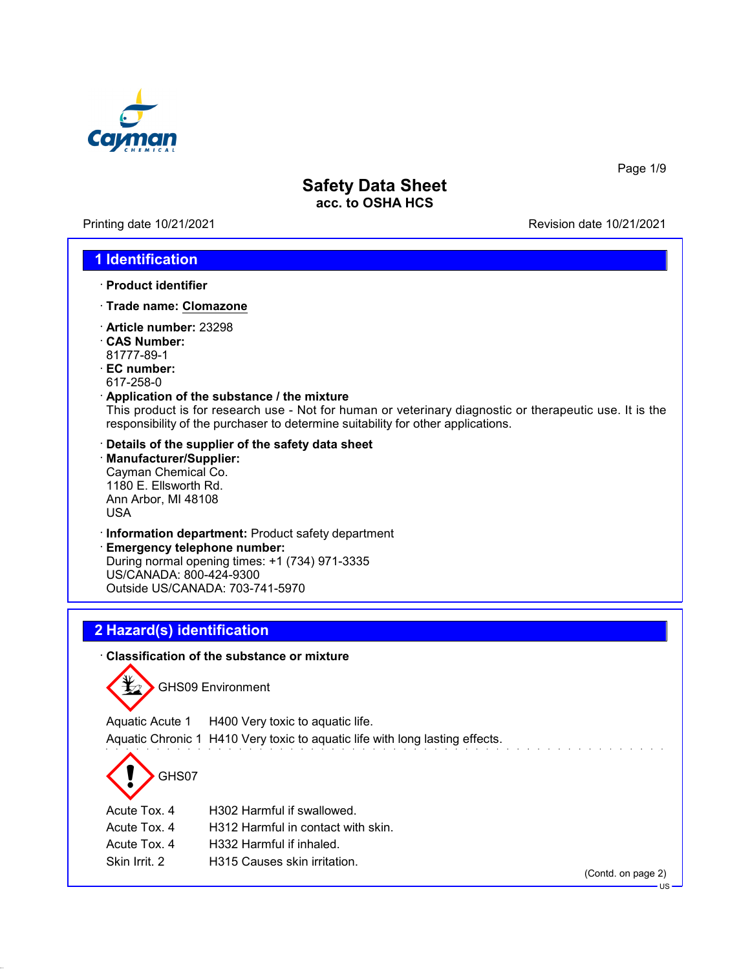

Printing date 10/21/2021 Revision date 10/21/2021

Page 1/9

### **1 Identification**

- · **Product identifier**
- · **Trade name: Clomazone**
- · **Article number:** 23298
- · **CAS Number:** 81777-89-1
- · **EC number:**
- 617-258-0

### · **Application of the substance / the mixture**

This product is for research use - Not for human or veterinary diagnostic or therapeutic use. It is the responsibility of the purchaser to determine suitability for other applications.

- · **Details of the supplier of the safety data sheet**
- · **Manufacturer/Supplier:** Cayman Chemical Co. 1180 E. Ellsworth Rd. Ann Arbor, MI 48108 USA
- · **Information department:** Product safety department

· **Emergency telephone number:** During normal opening times: +1 (734) 971-3335 US/CANADA: 800-424-9300 Outside US/CANADA: 703-741-5970

# **2 Hazard(s) identification**

#### · **Classification of the substance or mixture**



GHS09 Environment

Aquatic Acute 1 H400 Very toxic to aquatic life. Aquatic Chronic 1 H410 Very toxic to aquatic life with long lasting effects.

# GHS07

Acute Tox. 4 H302 Harmful if swallowed.

- Acute Tox. 4 H312 Harmful in contact with skin.
- Acute Tox. 4 H332 Harmful if inhaled.
- Skin Irrit. 2 H315 Causes skin irritation.

(Contd. on page 2)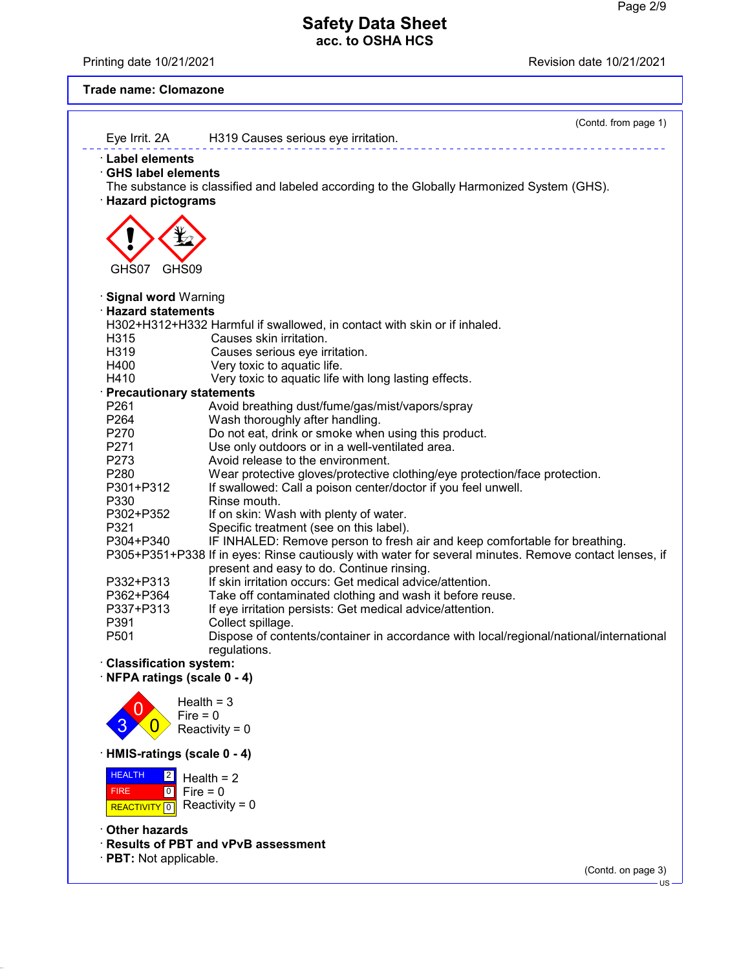Printing date 10/21/2021 **Printing date 10/21/2021** 

### **Trade name: Clomazone**

|                               | (Contd. from page 1)                                                                                  |
|-------------------------------|-------------------------------------------------------------------------------------------------------|
| Eye Irrit. 2A                 | H319 Causes serious eye irritation.                                                                   |
| <b>Label elements</b>         |                                                                                                       |
| <b>GHS label elements</b>     |                                                                                                       |
|                               | The substance is classified and labeled according to the Globally Harmonized System (GHS).            |
| · Hazard pictograms           |                                                                                                       |
|                               |                                                                                                       |
|                               |                                                                                                       |
|                               |                                                                                                       |
| GHS09<br>GHS07                |                                                                                                       |
|                               |                                                                                                       |
| · Signal word Warning         |                                                                                                       |
| <b>Hazard statements</b>      |                                                                                                       |
|                               | H302+H312+H332 Harmful if swallowed, in contact with skin or if inhaled.                              |
| H315                          | Causes skin irritation.                                                                               |
| H319                          | Causes serious eye irritation.                                                                        |
| H400                          | Very toxic to aquatic life.                                                                           |
| H410                          | Very toxic to aquatic life with long lasting effects.                                                 |
| · Precautionary statements    |                                                                                                       |
| P <sub>261</sub>              | Avoid breathing dust/fume/gas/mist/vapors/spray                                                       |
| P <sub>264</sub>              | Wash thoroughly after handling.                                                                       |
| P270                          | Do not eat, drink or smoke when using this product.                                                   |
| P271                          | Use only outdoors or in a well-ventilated area.                                                       |
| P273<br>P280                  | Avoid release to the environment.                                                                     |
| P301+P312                     | Wear protective gloves/protective clothing/eye protection/face protection.                            |
| P330                          | If swallowed: Call a poison center/doctor if you feel unwell.<br>Rinse mouth.                         |
| P302+P352                     | If on skin: Wash with plenty of water.                                                                |
| P321                          | Specific treatment (see on this label).                                                               |
| P304+P340                     | IF INHALED: Remove person to fresh air and keep comfortable for breathing.                            |
|                               | P305+P351+P338 If in eyes: Rinse cautiously with water for several minutes. Remove contact lenses, if |
|                               | present and easy to do. Continue rinsing.                                                             |
| P332+P313                     | If skin irritation occurs: Get medical advice/attention.                                              |
| P362+P364                     | Take off contaminated clothing and wash it before reuse.                                              |
| P337+P313                     | If eye irritation persists: Get medical advice/attention.                                             |
| P391                          | Collect spillage.                                                                                     |
| P501                          | Dispose of contents/container in accordance with local/regional/national/international                |
|                               | regulations.                                                                                          |
| <b>Classification system:</b> |                                                                                                       |
| NFPA ratings (scale 0 - 4)    |                                                                                                       |
|                               | Health = $3$                                                                                          |
|                               | $Fire = 0$                                                                                            |
|                               | Reactivity = $0$                                                                                      |
|                               |                                                                                                       |
| HMIS-ratings (scale 0 - 4)    |                                                                                                       |
| <b>HEALTH</b><br>$\boxed{2}$  | Health $= 2$                                                                                          |
| $\boxed{0}$<br><b>FIRE</b>    | $Fire = 0$                                                                                            |
| REACTIVITY <sup>0</sup>       | Reactivity = $0$                                                                                      |
|                               |                                                                                                       |
| Other hazards                 |                                                                                                       |
|                               | <b>Results of PBT and vPvB assessment</b>                                                             |
| · PBT: Not applicable.        | (Contd. on page 3)                                                                                    |
|                               | $US -$                                                                                                |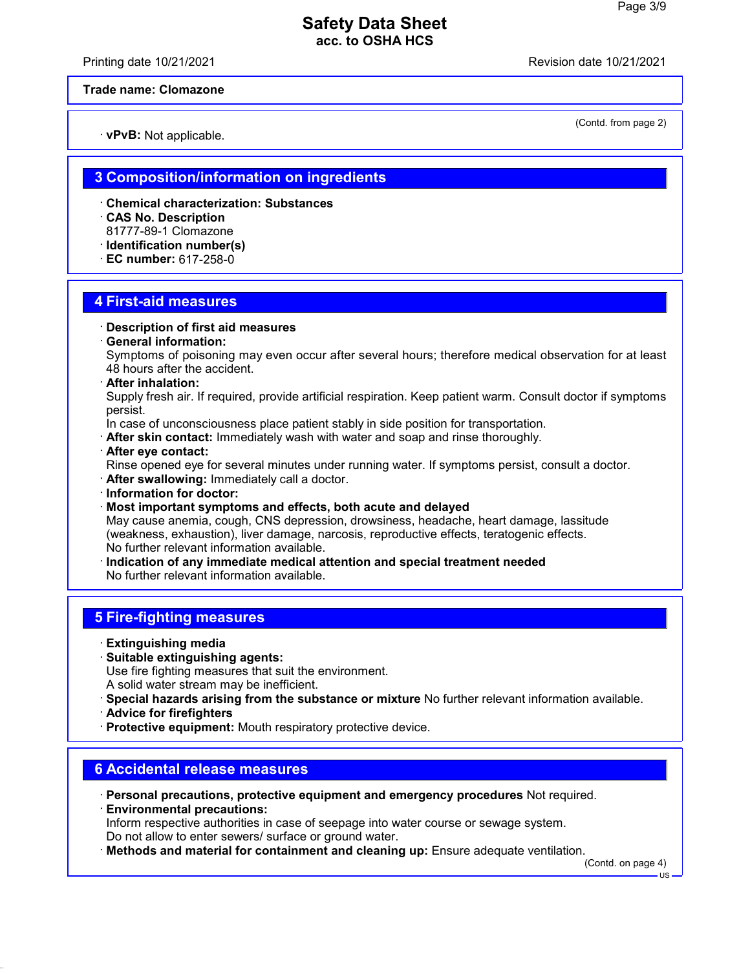Printing date 10/21/2021 Revision date 10/21/2021

#### **Trade name: Clomazone**

· **vPvB:** Not applicable.

(Contd. from page 2)

### **3 Composition/information on ingredients**

- · **Chemical characterization: Substances**
- · **CAS No. Description**
- 81777-89-1 Clomazone
- · **Identification number(s)**
- · **EC number:** 617-258-0

### **4 First-aid measures**

#### · **Description of first aid measures**

· **General information:**

Symptoms of poisoning may even occur after several hours; therefore medical observation for at least 48 hours after the accident.

· **After inhalation:**

Supply fresh air. If required, provide artificial respiration. Keep patient warm. Consult doctor if symptoms persist.

In case of unconsciousness place patient stably in side position for transportation.

· **After skin contact:** Immediately wash with water and soap and rinse thoroughly.

#### · **After eye contact:**

Rinse opened eye for several minutes under running water. If symptoms persist, consult a doctor.

- · **After swallowing:** Immediately call a doctor.
- · **Information for doctor:**
- · **Most important symptoms and effects, both acute and delayed** May cause anemia, cough, CNS depression, drowsiness, headache, heart damage, lassitude (weakness, exhaustion), liver damage, narcosis, reproductive effects, teratogenic effects. No further relevant information available.
- · **Indication of any immediate medical attention and special treatment needed** No further relevant information available.

# **5 Fire-fighting measures**

- · **Extinguishing media**
- · **Suitable extinguishing agents:**

Use fire fighting measures that suit the environment.

- A solid water stream may be inefficient.
- · **Special hazards arising from the substance or mixture** No further relevant information available.
- · **Advice for firefighters**

· **Protective equipment:** Mouth respiratory protective device.

### **6 Accidental release measures**

· **Personal precautions, protective equipment and emergency procedures** Not required. · **Environmental precautions:**

Inform respective authorities in case of seepage into water course or sewage system. Do not allow to enter sewers/ surface or ground water.

· **Methods and material for containment and cleaning up:** Ensure adequate ventilation.

(Contd. on page 4)

US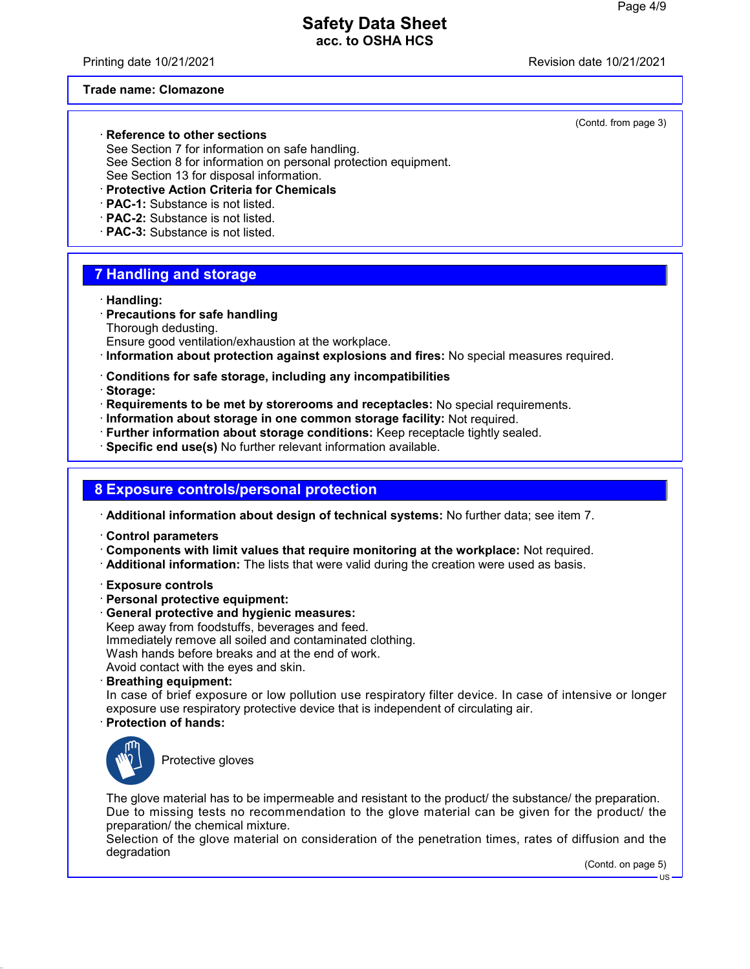Printing date 10/21/2021 **Printing date 10/21/2021** 

#### **Trade name: Clomazone**

· **Reference to other sections**

See Section 7 for information on safe handling. See Section 8 for information on personal protection equipment. See Section 13 for disposal information.

- · **Protective Action Criteria for Chemicals**
- · **PAC-1:** Substance is not listed.
- · **PAC-2:** Substance is not listed.
- · **PAC-3:** Substance is not listed.

# **7 Handling and storage**

#### · **Handling:**

- · **Precautions for safe handling** Thorough dedusting.
- Ensure good ventilation/exhaustion at the workplace.
- · **Information about protection against explosions and fires:** No special measures required.
- · **Conditions for safe storage, including any incompatibilities**
- · **Storage:**
- · **Requirements to be met by storerooms and receptacles:** No special requirements.
- · **Information about storage in one common storage facility:** Not required.
- · **Further information about storage conditions:** Keep receptacle tightly sealed.
- · **Specific end use(s)** No further relevant information available.

### **8 Exposure controls/personal protection**

· **Additional information about design of technical systems:** No further data; see item 7.

- · **Control parameters**
- · **Components with limit values that require monitoring at the workplace:** Not required.
- · **Additional information:** The lists that were valid during the creation were used as basis.
- · **Exposure controls**
- · **Personal protective equipment:**
- · **General protective and hygienic measures:** Keep away from foodstuffs, beverages and feed. Immediately remove all soiled and contaminated clothing. Wash hands before breaks and at the end of work. Avoid contact with the eyes and skin.
- · **Breathing equipment:**

In case of brief exposure or low pollution use respiratory filter device. In case of intensive or longer exposure use respiratory protective device that is independent of circulating air.

· **Protection of hands:**



Protective gloves

The glove material has to be impermeable and resistant to the product/ the substance/ the preparation. Due to missing tests no recommendation to the glove material can be given for the product/ the preparation/ the chemical mixture.

Selection of the glove material on consideration of the penetration times, rates of diffusion and the degradation

(Contd. on page 5)

(Contd. from page 3)

US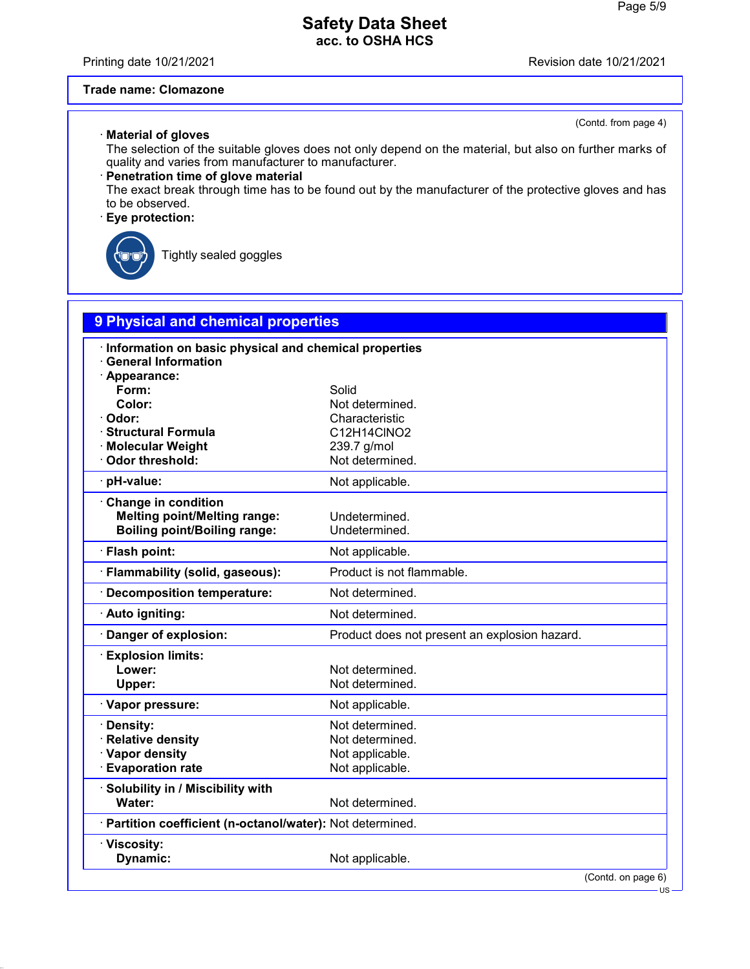Printing date 10/21/2021 Revision date 10/21/2021

(Contd. from page 4)

#### **Trade name: Clomazone**

#### · **Material of gloves**

The selection of the suitable gloves does not only depend on the material, but also on further marks of quality and varies from manufacturer to manufacturer.

### · **Penetration time of glove material**

The exact break through time has to be found out by the manufacturer of the protective gloves and has to be observed.

### · **Eye protection:**



Tightly sealed goggles

# **9 Physical and chemical properties** · **Information on basic physical and chemical properties** · **General Information** · **Appearance: Form:** Solid **Color:** Not determined.<br> **Color:** Characteristic · **Odor:** Characteristic · **Structural Formula** C12H14ClNO2 · **Molecular Weight** 239.7 g/mol · Odor threshold: Not determined. · **pH-value:** Not applicable. · **Change in condition Melting point/Melting range:** Undetermined. **Boiling point/Boiling range:** Undetermined. · **Flash point:** Not applicable. · **Flammability (solid, gaseous):** Product is not flammable. · **Decomposition temperature:** Not determined. · **Auto igniting:** Not determined. · **Danger of explosion:** Product does not present an explosion hazard. · **Explosion limits:** Not determined. **Upper:** Not determined. · Vapor pressure: Not applicable. **· Density:** Not determined. · **Relative density Not determined.** • **Vapor density**<br>• **Evaporation rate Not applicable.**<br>• **Evaporation rate Not applicable.** · Evaporation rate · **Solubility in / Miscibility with** Water: Water: Not determined. · **Partition coefficient (n-octanol/water):** Not determined. · **Viscosity: Dynamic:** Not applicable.

(Contd. on page 6)

US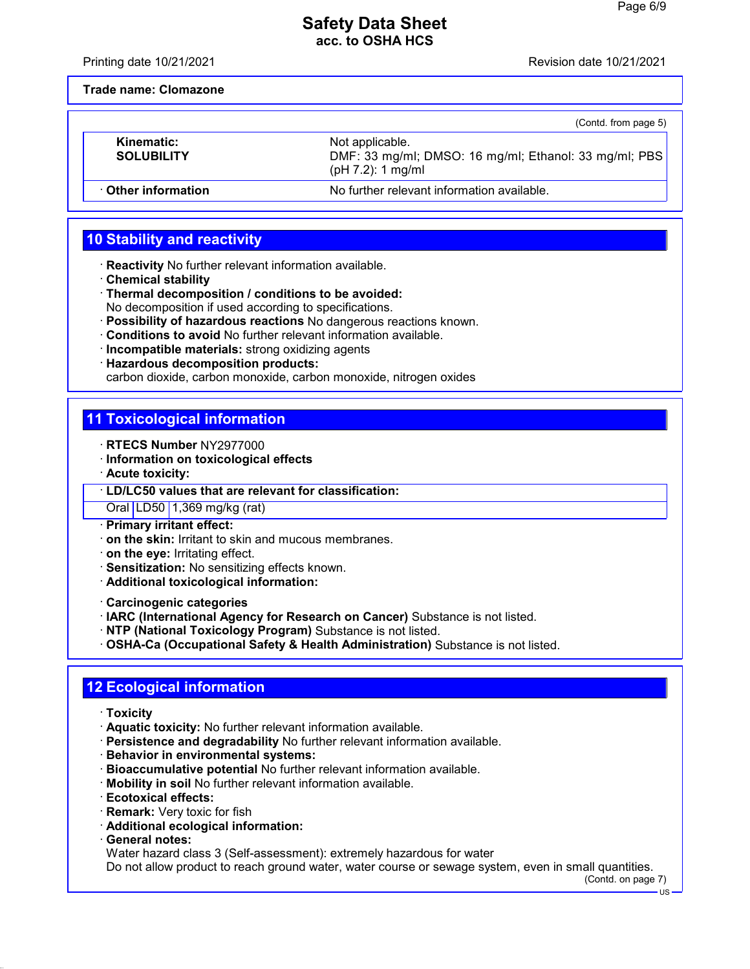Printing date 10/21/2021 Revision date 10/21/2021

**Trade name: Clomazone**

|                                 | (Contd. from page 5)                                                                             |
|---------------------------------|--------------------------------------------------------------------------------------------------|
| Kinematic:<br><b>SOLUBILITY</b> | Not applicable.<br>DMF: 33 mg/ml; DMSO: 16 mg/ml; Ethanol: 33 mg/ml; PBS<br>$(pH 7.2)$ : 1 mg/ml |
| Other information               | No further relevant information available.                                                       |

# **10 Stability and reactivity**

- · **Reactivity** No further relevant information available.
- · **Chemical stability**
- · **Thermal decomposition / conditions to be avoided:** No decomposition if used according to specifications.
- · **Possibility of hazardous reactions** No dangerous reactions known.
- · **Conditions to avoid** No further relevant information available.
- · **Incompatible materials:** strong oxidizing agents
- · **Hazardous decomposition products:**

carbon dioxide, carbon monoxide, carbon monoxide, nitrogen oxides

# **11 Toxicological information**

- · **RTECS Number** NY2977000
- · **Information on toxicological effects**
- · **Acute toxicity:**

#### · **LD/LC50 values that are relevant for classification:**

Oral LD50 1,369 mg/kg (rat)

- · **Primary irritant effect:**
- · **on the skin:** Irritant to skin and mucous membranes.
- · **on the eye:** Irritating effect.
- · **Sensitization:** No sensitizing effects known.
- · **Additional toxicological information:**
- · **Carcinogenic categories**
- · **IARC (International Agency for Research on Cancer)** Substance is not listed.
- · **NTP (National Toxicology Program)** Substance is not listed.
- · **OSHA-Ca (Occupational Safety & Health Administration)** Substance is not listed.

# **12 Ecological information**

- · **Toxicity**
- · **Aquatic toxicity:** No further relevant information available.
- · **Persistence and degradability** No further relevant information available.
- · **Behavior in environmental systems:**
- · **Bioaccumulative potential** No further relevant information available.
- · **Mobility in soil** No further relevant information available.
- · **Ecotoxical effects:**
- · **Remark:** Very toxic for fish
- · **Additional ecological information:**
- · **General notes:**

Water hazard class 3 (Self-assessment): extremely hazardous for water

Do not allow product to reach ground water, water course or sewage system, even in small quantities.

(Contd. on page 7)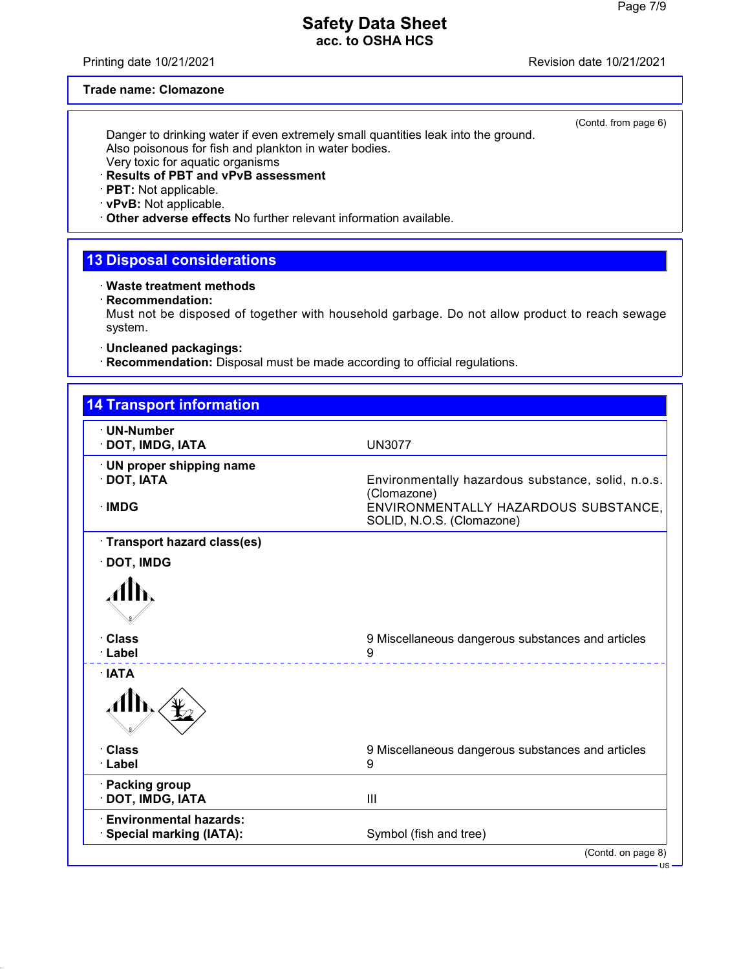Printing date 10/21/2021 **Printing date 10/21/2021** 

(Contd. from page 6)

### **Trade name: Clomazone**

Danger to drinking water if even extremely small quantities leak into the ground. Also poisonous for fish and plankton in water bodies. Very toxic for aquatic organisms

### · **Results of PBT and vPvB assessment**

### · **PBT:** Not applicable.

· **vPvB:** Not applicable.

· **Other adverse effects** No further relevant information available.

# **13 Disposal considerations**

· **Waste treatment methods**

· **Recommendation:**

Must not be disposed of together with household garbage. Do not allow product to reach sewage system.

· **Uncleaned packagings:**

· **Recommendation:** Disposal must be made according to official regulations.

| ∙ UN-Number                              |                                                                   |
|------------------------------------------|-------------------------------------------------------------------|
| · DOT, IMDG, IATA                        | <b>UN3077</b>                                                     |
| · UN proper shipping name<br>· DOT, IATA | Environmentally hazardous substance, solid, n.o.s.<br>(Clomazone) |
| · IMDG                                   | ENVIRONMENTALLY HAZARDOUS SUBSTANCE.<br>SOLID, N.O.S. (Clomazone) |
| · Transport hazard class(es)             |                                                                   |
| $\cdot$ DOT, IMDG                        |                                                                   |
|                                          |                                                                   |
| · Class<br>· Label                       | 9 Miscellaneous dangerous substances and articles<br>9<br>.       |
| · IATA                                   |                                                                   |
|                                          |                                                                   |
| · Class                                  | 9 Miscellaneous dangerous substances and articles                 |
| · Label                                  | 9                                                                 |
| · Packing group                          | III                                                               |
| · DOT, IMDG, IATA                        |                                                                   |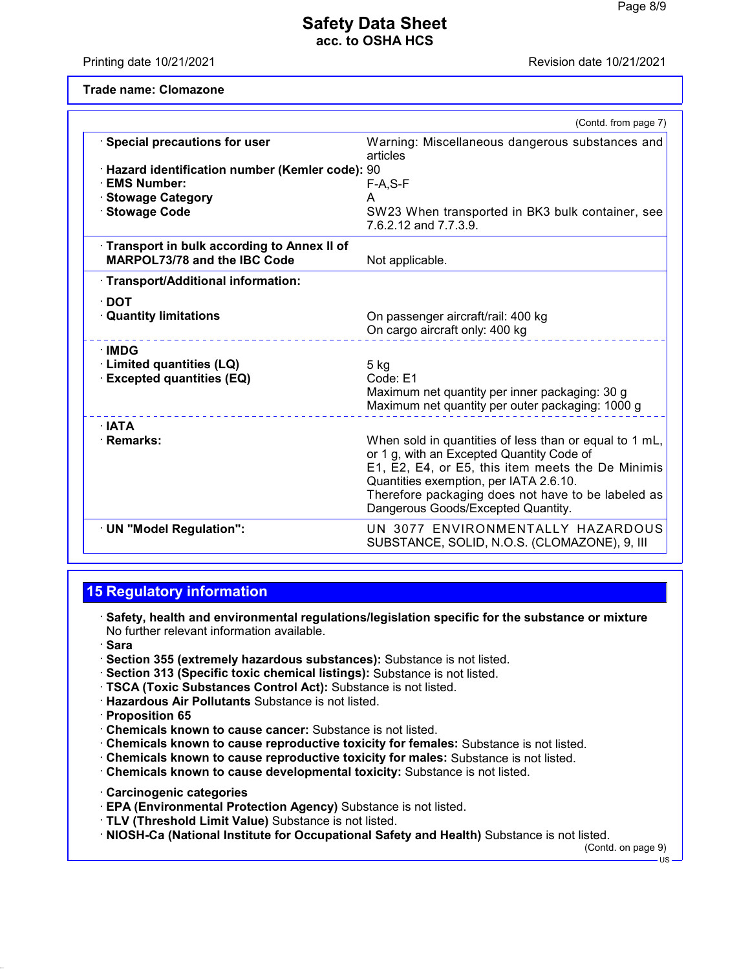Printing date 10/21/2021 **Printing date 10/21/2021** 

**Trade name: Clomazone**

|                                                  | (Contd. from page 7)                                                                                                                                                                                                                                                                           |
|--------------------------------------------------|------------------------------------------------------------------------------------------------------------------------------------------------------------------------------------------------------------------------------------------------------------------------------------------------|
| · Special precautions for user                   | Warning: Miscellaneous dangerous substances and<br>articles                                                                                                                                                                                                                                    |
| · Hazard identification number (Kemler code): 90 |                                                                                                                                                                                                                                                                                                |
| · EMS Number:                                    | $F-A, S-F$                                                                                                                                                                                                                                                                                     |
| · Stowage Category                               | A                                                                                                                                                                                                                                                                                              |
| · Stowage Code                                   | SW23 When transported in BK3 bulk container, see<br>7.6.2.12 and 7.7.3.9.                                                                                                                                                                                                                      |
| Transport in bulk according to Annex II of       |                                                                                                                                                                                                                                                                                                |
| <b>MARPOL73/78 and the IBC Code</b>              | Not applicable.                                                                                                                                                                                                                                                                                |
| · Transport/Additional information:              |                                                                                                                                                                                                                                                                                                |
| $\cdot$ DOT                                      |                                                                                                                                                                                                                                                                                                |
| <b>Quantity limitations</b>                      | On passenger aircraft/rail: 400 kg<br>On cargo aircraft only: 400 kg                                                                                                                                                                                                                           |
| · IMDG                                           |                                                                                                                                                                                                                                                                                                |
| · Limited quantities (LQ)                        | 5 kg                                                                                                                                                                                                                                                                                           |
| <b>Excepted quantities (EQ)</b>                  | Code: E1                                                                                                                                                                                                                                                                                       |
|                                                  | Maximum net quantity per inner packaging: 30 g<br>Maximum net quantity per outer packaging: 1000 g                                                                                                                                                                                             |
| $\cdot$ IATA                                     |                                                                                                                                                                                                                                                                                                |
| · Remarks:                                       | When sold in quantities of less than or equal to 1 mL,<br>or 1 g, with an Excepted Quantity Code of<br>E1, E2, E4, or E5, this item meets the De Minimis<br>Quantities exemption, per IATA 2.6.10.<br>Therefore packaging does not have to be labeled as<br>Dangerous Goods/Excepted Quantity. |
| · UN "Model Regulation":                         | UN 3077 ENVIRONMENTALLY HAZARDOUS<br>SUBSTANCE, SOLID, N.O.S. (CLOMAZONE), 9, III                                                                                                                                                                                                              |

### **15 Regulatory information**

- · **Safety, health and environmental regulations/legislation specific for the substance or mixture** No further relevant information available.
- · **Sara**
- · **Section 355 (extremely hazardous substances):** Substance is not listed.
- · **Section 313 (Specific toxic chemical listings):** Substance is not listed.
- · **TSCA (Toxic Substances Control Act):** Substance is not listed.
- · **Hazardous Air Pollutants** Substance is not listed.
- · **Proposition 65**
- · **Chemicals known to cause cancer:** Substance is not listed.
- · **Chemicals known to cause reproductive toxicity for females:** Substance is not listed.
- · **Chemicals known to cause reproductive toxicity for males:** Substance is not listed.
- · **Chemicals known to cause developmental toxicity:** Substance is not listed.
- · **Carcinogenic categories**
- · **EPA (Environmental Protection Agency)** Substance is not listed.
- · **TLV (Threshold Limit Value)** Substance is not listed.
- · **NIOSH-Ca (National Institute for Occupational Safety and Health)** Substance is not listed.

(Contd. on page 9)

 $\overline{18}$